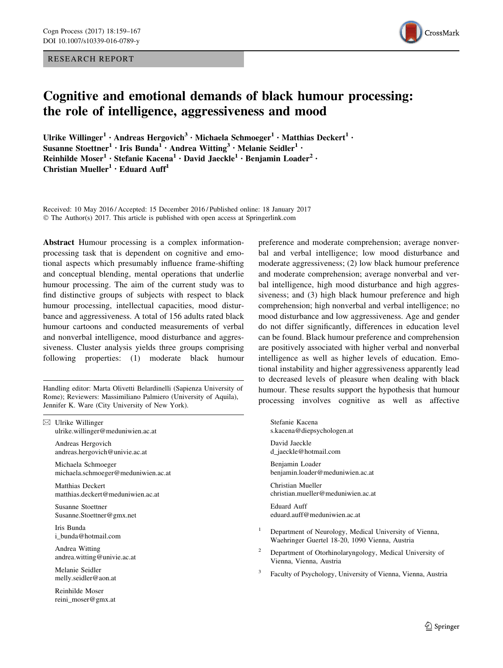RESEARCH REPORT



# Cognitive and emotional demands of black humour processing: the role of intelligence, aggressiveness and mood

Ulrike Willinger<sup>1</sup> · Andreas Hergovich<sup>3</sup> · Michaela Schmoeger<sup>1</sup> · Matthias Deckert<sup>1</sup> · Susanne Stoettner<sup>1</sup> · Iris Bunda<sup>1</sup> · Andrea Witting<sup>3</sup> · Melanie Seidler<sup>1</sup> · Reinhilde Moser<sup>1</sup> · Stefanie Kacena<sup>1</sup> · David Jaeckle<sup>1</sup> · Benjamin Loader<sup>2</sup> · Christian Mueller<sup>1</sup> · Eduard Auff<sup>1</sup>

Received: 10 May 2016 / Accepted: 15 December 2016 / Published online: 18 January 2017 © The Author(s) 2017. This article is published with open access at Springerlink.com

Abstract Humour processing is a complex informationprocessing task that is dependent on cognitive and emotional aspects which presumably influence frame-shifting and conceptual blending, mental operations that underlie humour processing. The aim of the current study was to find distinctive groups of subjects with respect to black humour processing, intellectual capacities, mood disturbance and aggressiveness. A total of 156 adults rated black humour cartoons and conducted measurements of verbal and nonverbal intelligence, mood disturbance and aggressiveness. Cluster analysis yields three groups comprising following properties: (1) moderate black humour

Handling editor: Marta Olivetti Belardinelli (Sapienza University of Rome); Reviewers: Massimiliano Palmiero (University of Aquila), Jennifer K. Ware (City University of New York).

 $\boxtimes$  Ulrike Willinger ulrike.willinger@meduniwien.ac.at

> Andreas Hergovich andreas.hergovich@univie.ac.at

Michaela Schmoeger michaela.schmoeger@meduniwien.ac.at

Matthias Deckert matthias.deckert@meduniwien.ac.at

Susanne Stoettner Susanne.Stoettner@gmx.net

Iris Bunda i\_bunda@hotmail.com

Andrea Witting andrea.witting@univie.ac.at

Melanie Seidler melly.seidler@aon.at

Reinhilde Moser reini\_moser@gmx.at

preference and moderate comprehension; average nonverbal and verbal intelligence; low mood disturbance and moderate aggressiveness; (2) low black humour preference and moderate comprehension; average nonverbal and verbal intelligence, high mood disturbance and high aggressiveness; and (3) high black humour preference and high comprehension; high nonverbal and verbal intelligence; no mood disturbance and low aggressiveness. Age and gender do not differ significantly, differences in education level can be found. Black humour preference and comprehension are positively associated with higher verbal and nonverbal intelligence as well as higher levels of education. Emotional instability and higher aggressiveness apparently lead to decreased levels of pleasure when dealing with black humour. These results support the hypothesis that humour processing involves cognitive as well as affective

Stefanie Kacena s.kacena@diepsychologen.at David Jaeckle d\_jaeckle@hotmail.com

Benjamin Loader benjamin.loader@meduniwien.ac.at

Christian Mueller christian.mueller@meduniwien.ac.at

Eduard Auff eduard.auff@meduniwien.ac.at

- <sup>1</sup> Department of Neurology, Medical University of Vienna, Waehringer Guertel 18-20, 1090 Vienna, Austria
- <sup>2</sup> Department of Otorhinolaryngology, Medical University of Vienna, Vienna, Austria
- <sup>3</sup> Faculty of Psychology, University of Vienna, Vienna, Austria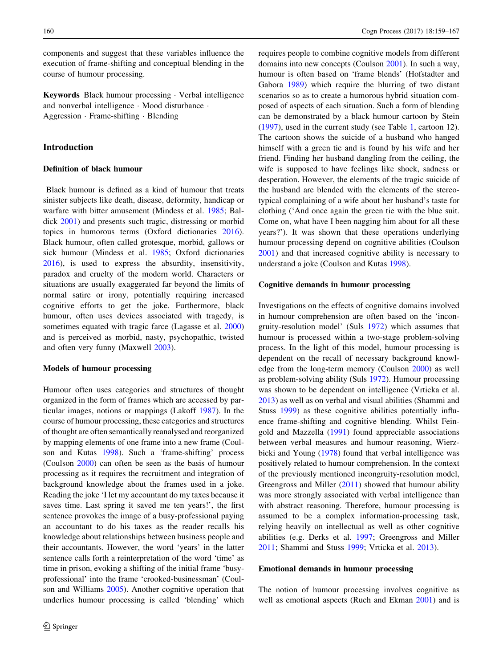components and suggest that these variables influence the execution of frame-shifting and conceptual blending in the course of humour processing.

Keywords Black humour processing - Verbal intelligence and nonverbal intelligence · Mood disturbance · Aggression - Frame-shifting - Blending

# Introduction

### Definition of black humour

Black humour is defined as a kind of humour that treats sinister subjects like death, disease, deformity, handicap or warfare with bitter amusement (Mindess et al. [1985](#page-8-0); Baldick [2001\)](#page-7-0) and presents such tragic, distressing or morbid topics in humorous terms (Oxford dictionaries [2016](#page-8-0)). Black humour, often called grotesque, morbid, gallows or sick humour (Mindess et al. [1985;](#page-8-0) Oxford dictionaries [2016\)](#page-8-0), is used to express the absurdity, insensitivity, paradox and cruelty of the modern world. Characters or situations are usually exaggerated far beyond the limits of normal satire or irony, potentially requiring increased cognitive efforts to get the joke. Furthermore, black humour, often uses devices associated with tragedy, is sometimes equated with tragic farce (Lagasse et al. [2000\)](#page-8-0) and is perceived as morbid, nasty, psychopathic, twisted and often very funny (Maxwell [2003\)](#page-8-0).

# Models of humour processing

Humour often uses categories and structures of thought organized in the form of frames which are accessed by particular images, notions or mappings (Lakoff [1987\)](#page-8-0). In the course of humour processing, these categories and structures of thought are often semantically reanalysed and reorganized by mapping elements of one frame into a new frame (Coulson and Kutas [1998\)](#page-8-0). Such a 'frame-shifting' process (Coulson [2000](#page-7-0)) can often be seen as the basis of humour processing as it requires the recruitment and integration of background knowledge about the frames used in a joke. Reading the joke 'I let my accountant do my taxes because it saves time. Last spring it saved me ten years!', the first sentence provokes the image of a busy-professional paying an accountant to do his taxes as the reader recalls his knowledge about relationships between business people and their accountants. However, the word 'years' in the latter sentence calls forth a reinterpretation of the word 'time' as time in prison, evoking a shifting of the initial frame 'busyprofessional' into the frame 'crooked-businessman' (Coulson and Williams [2005](#page-8-0)). Another cognitive operation that underlies humour processing is called 'blending' which requires people to combine cognitive models from different domains into new concepts (Coulson [2001](#page-7-0)). In such a way, humour is often based on 'frame blends' (Hofstadter and Gabora [1989](#page-8-0)) which require the blurring of two distant scenarios so as to create a humorous hybrid situation composed of aspects of each situation. Such a form of blending can be demonstrated by a black humour cartoon by Stein [\(1997](#page-8-0)), used in the current study (see Table [1](#page-2-0), cartoon 12). The cartoon shows the suicide of a husband who hanged himself with a green tie and is found by his wife and her friend. Finding her husband dangling from the ceiling, the wife is supposed to have feelings like shock, sadness or desperation. However, the elements of the tragic suicide of the husband are blended with the elements of the stereotypical complaining of a wife about her husband's taste for clothing ('And once again the green tie with the blue suit. Come on, what have I been nagging him about for all these years?'). It was shown that these operations underlying humour processing depend on cognitive abilities (Coulson [2001](#page-7-0)) and that increased cognitive ability is necessary to understand a joke (Coulson and Kutas [1998\)](#page-8-0).

#### Cognitive demands in humour processing

Investigations on the effects of cognitive domains involved in humour comprehension are often based on the 'incongruity-resolution model' (Suls [1972](#page-8-0)) which assumes that humour is processed within a two-stage problem-solving process. In the light of this model, humour processing is dependent on the recall of necessary background knowledge from the long-term memory (Coulson [2000](#page-7-0)) as well as problem-solving ability (Suls [1972](#page-8-0)). Humour processing was shown to be dependent on intelligence (Vrticka et al. [2013](#page-8-0)) as well as on verbal and visual abilities (Shammi and Stuss [1999\)](#page-8-0) as these cognitive abilities potentially influence frame-shifting and cognitive blending. Whilst Feingold and Mazzella ([1991\)](#page-8-0) found appreciable associations between verbal measures and humour reasoning, Wierzbicki and Young [\(1978](#page-8-0)) found that verbal intelligence was positively related to humour comprehension. In the context of the previously mentioned incongruity-resolution model, Greengross and Miller ([2011\)](#page-8-0) showed that humour ability was more strongly associated with verbal intelligence than with abstract reasoning. Therefore, humour processing is assumed to be a complex information-processing task, relying heavily on intellectual as well as other cognitive abilities (e.g. Derks et al. [1997;](#page-8-0) Greengross and Miller [2011](#page-8-0); Shammi and Stuss [1999;](#page-8-0) Vrticka et al. [2013](#page-8-0)).

## Emotional demands in humour processing

The notion of humour processing involves cognitive as well as emotional aspects (Ruch and Ekman [2001\)](#page-8-0) and is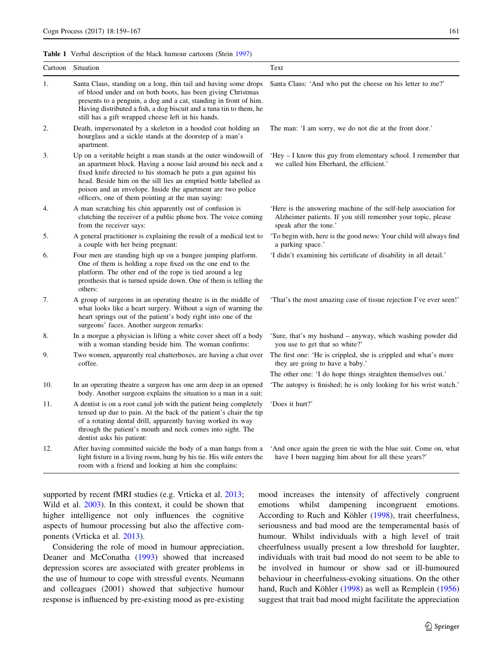<span id="page-2-0"></span>

| Cartoon | <b>Table I</b> verbal description of the black numour cartoons (Stein 1997)<br>Situation                                                                                                                                                                                                                                                                                                  | Text                                                                                                                                                     |
|---------|-------------------------------------------------------------------------------------------------------------------------------------------------------------------------------------------------------------------------------------------------------------------------------------------------------------------------------------------------------------------------------------------|----------------------------------------------------------------------------------------------------------------------------------------------------------|
|         |                                                                                                                                                                                                                                                                                                                                                                                           |                                                                                                                                                          |
| 1.      | Santa Claus, standing on a long, thin tail and having some drops<br>of blood under and on both boots, has been giving Christmas<br>presents to a penguin, a dog and a cat, standing in front of him.<br>Having distributed a fish, a dog biscuit and a tuna tin to them, he<br>still has a gift wrapped cheese left in his hands.                                                         | Santa Claus: 'And who put the cheese on his letter to me?'                                                                                               |
| 2.      | Death, impersonated by a skeleton in a hooded coat holding an<br>hourglass and a sickle stands at the doorstep of a man's<br>apartment.                                                                                                                                                                                                                                                   | The man: 'I am sorry, we do not die at the front door.'                                                                                                  |
| 3.      | Up on a veritable height a man stands at the outer windowsill of<br>an apartment block. Having a noose laid around his neck and a<br>fixed knife directed to his stomach he puts a gun against his<br>head. Beside him on the sill lies an emptied bottle labelled as<br>poison and an envelope. Inside the apartment are two police<br>officers, one of them pointing at the man saying: | 'Hey - I know this guy from elementary school. I remember that<br>we called him Eberhard, the efficient.'                                                |
| 4.      | A man scratching his chin apparently out of confusion is<br>clutching the receiver of a public phone box. The voice coming<br>from the receiver says:                                                                                                                                                                                                                                     | Here is the answering machine of the self-help association for<br>Alzheimer patients. If you still remember your topic, please<br>speak after the tone.' |
| 5.      | A general practitioner is explaining the result of a medical test to<br>a couple with her being pregnant:                                                                                                                                                                                                                                                                                 | To begin with, here is the good news: Your child will always find<br>a parking space.'                                                                   |
| 6.      | Four men are standing high up on a bungee jumping platform.<br>One of them is holding a rope fixed on the one end to the<br>platform. The other end of the rope is tied around a leg<br>prosthesis that is turned upside down. One of them is telling the<br>others:                                                                                                                      | 'I didn't examining his certificate of disability in all detail.'                                                                                        |
| 7.      | A group of surgeons in an operating theatre is in the middle of<br>what looks like a heart surgery. Without a sign of warning the<br>heart springs out of the patient's body right into one of the<br>surgeons' faces. Another surgeon remarks:                                                                                                                                           | That's the most amazing case of tissue rejection I've ever seen!                                                                                         |
| 8.      | In a morgue a physician is lifting a white cover sheet off a body<br>with a woman standing beside him. The woman confirms:                                                                                                                                                                                                                                                                | 'Sure, that's my husband - anyway, which washing powder did<br>you use to get that so white?'                                                            |
| 9.      | Two women, apparently real chatterboxes, are having a chat over<br>coffee.                                                                                                                                                                                                                                                                                                                | The first one: 'He is crippled, she is crippled and what's more<br>they are going to have a baby.'                                                       |
|         |                                                                                                                                                                                                                                                                                                                                                                                           | The other one: 'I do hope things straighten themselves out.'                                                                                             |
| 10.     | In an operating theatre a surgeon has one arm deep in an opened<br>body. Another surgeon explains the situation to a man in a suit:                                                                                                                                                                                                                                                       | 'The autopsy is finished; he is only looking for his wrist watch.'                                                                                       |
| 11.     | A dentist is on a root canal job with the patient being completely<br>tensed up due to pain. At the back of the patient's chair the tip<br>of a rotating dental drill, apparently having worked its way<br>through the patient's mouth and neck comes into sight. The<br>dentist asks his patient:                                                                                        | 'Does it hurt?'                                                                                                                                          |
| 12.     | After having committed suicide the body of a man hangs from a<br>light fixture in a living room, hung by his tie. His wife enters the<br>room with a friend and looking at him she complains:                                                                                                                                                                                             | And once again the green tie with the blue suit. Come on, what<br>have I been nagging him about for all these years?                                     |

supported by recent fMRI studies (e.g. Vrticka et al. [2013](#page-8-0); Wild et al. [2003\)](#page-8-0). In this context, it could be shown that higher intelligence not only influences the cognitive aspects of humour processing but also the affective components (Vrticka et al. [2013\)](#page-8-0).

Considering the role of mood in humour appreciation, Deaner and McConatha [\(1993](#page-8-0)) showed that increased depression scores are associated with greater problems in the use of humour to cope with stressful events. Neumann and colleagues (2001) showed that subjective humour response is influenced by pre-existing mood as pre-existing mood increases the intensity of affectively congruent emotions whilst dampening incongruent emotions. According to Ruch and Köhler [\(1998\)](#page-8-0), trait cheerfulness, seriousness and bad mood are the temperamental basis of humour. Whilst individuals with a high level of trait cheerfulness usually present a low threshold for laughter, individuals with trait bad mood do not seem to be able to be involved in humour or show sad or ill-humoured behaviour in cheerfulness-evoking situations. On the other hand, Ruch and Köhler ([1998\)](#page-8-0) as well as Remplein ([1956\)](#page-8-0) suggest that trait bad mood might facilitate the appreciation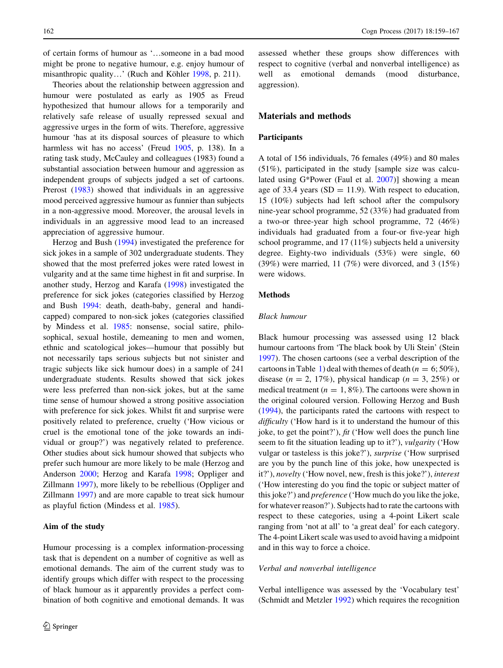of certain forms of humour as '…someone in a bad mood might be prone to negative humour, e.g. enjoy humour of misanthropic quality...' (Ruch and Köhler [1998,](#page-8-0) p. 211).

Theories about the relationship between aggression and humour were postulated as early as 1905 as Freud hypothesized that humour allows for a temporarily and relatively safe release of usually repressed sexual and aggressive urges in the form of wits. Therefore, aggressive humour 'has at its disposal sources of pleasure to which harmless wit has no access' (Freud [1905,](#page-8-0) p. 138). In a rating task study, McCauley and colleagues (1983) found a substantial association between humour and aggression as independent groups of subjects judged a set of cartoons. Prerost [\(1983](#page-8-0)) showed that individuals in an aggressive mood perceived aggressive humour as funnier than subjects in a non-aggressive mood. Moreover, the arousal levels in individuals in an aggressive mood lead to an increased appreciation of aggressive humour.

Herzog and Bush [\(1994](#page-8-0)) investigated the preference for sick jokes in a sample of 302 undergraduate students. They showed that the most preferred jokes were rated lowest in vulgarity and at the same time highest in fit and surprise. In another study, Herzog and Karafa ([1998\)](#page-8-0) investigated the preference for sick jokes (categories classified by Herzog and Bush [1994](#page-8-0): death, death-baby, general and handicapped) compared to non-sick jokes (categories classified by Mindess et al. [1985:](#page-8-0) nonsense, social satire, philosophical, sexual hostile, demeaning to men and women, ethnic and scatological jokes—humour that possibly but not necessarily taps serious subjects but not sinister and tragic subjects like sick humour does) in a sample of 241 undergraduate students. Results showed that sick jokes were less preferred than non-sick jokes, but at the same time sense of humour showed a strong positive association with preference for sick jokes. Whilst fit and surprise were positively related to preference, cruelty ('How vicious or cruel is the emotional tone of the joke towards an individual or group?') was negatively related to preference. Other studies about sick humour showed that subjects who prefer such humour are more likely to be male (Herzog and Anderson [2000](#page-8-0); Herzog and Karafa [1998](#page-8-0); Oppliger and Zillmann [1997\)](#page-8-0), more likely to be rebellious (Oppliger and Zillmann [1997\)](#page-8-0) and are more capable to treat sick humour as playful fiction (Mindess et al. [1985](#page-8-0)).

#### Aim of the study

Humour processing is a complex information-processing task that is dependent on a number of cognitive as well as emotional demands. The aim of the current study was to identify groups which differ with respect to the processing of black humour as it apparently provides a perfect combination of both cognitive and emotional demands. It was

assessed whether these groups show differences with respect to cognitive (verbal and nonverbal intelligence) as well as emotional demands (mood disturbance, aggression).

# Materials and methods

## Participants

A total of 156 individuals, 76 females (49%) and 80 males (51%), participated in the study [sample size was calculated using G\*Power (Faul et al. [2007](#page-8-0))] showing a mean age of 33.4 years ( $SD = 11.9$ ). With respect to education, 15 (10%) subjects had left school after the compulsory nine-year school programme, 52 (33%) had graduated from a two-or three-year high school programme, 72 (46%) individuals had graduated from a four-or five-year high school programme, and 17 (11%) subjects held a university degree. Eighty-two individuals (53%) were single, 60 (39%) were married, 11 (7%) were divorced, and 3 (15%) were widows.

# Methods

# Black humour

Black humour processing was assessed using 12 black humour cartoons from 'The black book by Uli Stein' (Stein [1997](#page-8-0)). The chosen cartoons (see a verbal description of the cartoons in Table [1](#page-2-0)) deal with themes of death ( $n = 6,50\%$ ), disease ( $n = 2$ , 17%), physical handicap ( $n = 3$ , 25%) or medical treatment ( $n = 1, 8\%$ ). The cartoons were shown in the original coloured version. Following Herzog and Bush [\(1994](#page-8-0)), the participants rated the cartoons with respect to difficulty ('How hard is it to understand the humour of this joke, to get the point?'), fit ('How well does the punch line seem to fit the situation leading up to it?'), vulgarity ('How vulgar or tasteless is this joke?'), surprise ('How surprised are you by the punch line of this joke, how unexpected is it?'), novelty ('How novel, new, fresh is this joke?'), interest ('How interesting do you find the topic or subject matter of this joke?') and preference ('How much do you like the joke, for whatever reason?'). Subjects had to rate the cartoons with respect to these categories, using a 4-point Likert scale ranging from 'not at all' to 'a great deal' for each category. The 4-point Likert scale was used to avoid having a midpoint and in this way to force a choice.

#### Verbal and nonverbal intelligence

Verbal intelligence was assessed by the 'Vocabulary test' (Schmidt and Metzler [1992](#page-8-0)) which requires the recognition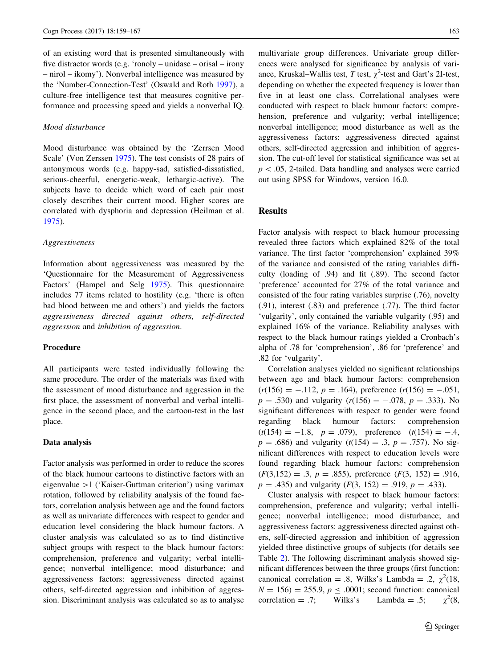of an existing word that is presented simultaneously with five distractor words (e.g. 'ronoly – unidase – orisal – irony – nirol – ikomy'). Nonverbal intelligence was measured by the 'Number-Connection-Test' (Oswald and Roth [1997\)](#page-8-0), a culture-free intelligence test that measures cognitive performance and processing speed and yields a nonverbal IQ.

#### Mood disturbance

Mood disturbance was obtained by the 'Zerrsen Mood Scale' (Von Zerssen [1975](#page-8-0)). The test consists of 28 pairs of antonymous words (e.g. happy-sad, satisfied-dissatisfied, serious-cheerful, energetic-weak, lethargic-active). The subjects have to decide which word of each pair most closely describes their current mood. Higher scores are correlated with dysphoria and depression (Heilman et al. [1975\)](#page-8-0).

#### Aggressiveness

Information about aggressiveness was measured by the 'Questionnaire for the Measurement of Aggressiveness Factors' (Hampel and Selg [1975](#page-8-0)). This questionnaire includes 77 items related to hostility (e.g. 'there is often bad blood between me and others') and yields the factors aggressiveness directed against others, self-directed aggression and inhibition of aggression.

#### Procedure

All participants were tested individually following the same procedure. The order of the materials was fixed with the assessment of mood disturbance and aggression in the first place, the assessment of nonverbal and verbal intelligence in the second place, and the cartoon-test in the last place.

#### Data analysis

Factor analysis was performed in order to reduce the scores of the black humour cartoons to distinctive factors with an eigenvalue  $>1$  ('Kaiser-Guttman criterion') using varimax rotation, followed by reliability analysis of the found factors, correlation analysis between age and the found factors as well as univariate differences with respect to gender and education level considering the black humour factors. A cluster analysis was calculated so as to find distinctive subject groups with respect to the black humour factors: comprehension, preference and vulgarity; verbal intelligence; nonverbal intelligence; mood disturbance; and aggressiveness factors: aggressiveness directed against others, self-directed aggression and inhibition of aggression. Discriminant analysis was calculated so as to analyse multivariate group differences. Univariate group differences were analysed for significance by analysis of variance, Kruskal–Wallis test, T test,  $\chi^2$ -test and Gart's 2I-test, depending on whether the expected frequency is lower than five in at least one class. Correlational analyses were conducted with respect to black humour factors: comprehension, preference and vulgarity; verbal intelligence; nonverbal intelligence; mood disturbance as well as the aggressiveness factors: aggressiveness directed against others, self-directed aggression and inhibition of aggression. The cut-off level for statistical significance was set at  $p\lt 0.05$ , 2-tailed. Data handling and analyses were carried out using SPSS for Windows, version 16.0.

# Results

Factor analysis with respect to black humour processing revealed three factors which explained 82% of the total variance. The first factor 'comprehension' explained 39% of the variance and consisted of the rating variables difficulty (loading of .94) and fit (.89). The second factor 'preference' accounted for 27% of the total variance and consisted of the four rating variables surprise (.76), novelty (.91), interest (.83) and preference (.77). The third factor 'vulgarity', only contained the variable vulgarity (.95) and explained 16% of the variance. Reliability analyses with respect to the black humour ratings yielded a Cronbach's alpha of .78 for 'comprehension', .86 for 'preference' and .82 for 'vulgarity'.

Correlation analyses yielded no significant relationships between age and black humour factors: comprehension  $(r(156) = -.112, p = .164)$ , preference  $(r(156) = -.051,$  $p = .530$ ) and vulgarity  $(r(156) = -.078, p = .333)$ . No significant differences with respect to gender were found regarding black humour factors: comprehension  $(t(154) = -1.8, p = .079)$ , preference  $(t(154) = -.4,$  $p = .686$ ) and vulgarity (t(154) = .3,  $p = .757$ ). No significant differences with respect to education levels were found regarding black humour factors: comprehension  $(F(3,152) = .3, p = .855)$ , preference  $(F(3, 152) = .916,$  $p = .435$ ) and vulgarity  $(F(3, 152) = .919, p = .433)$ .

Cluster analysis with respect to black humour factors: comprehension, preference and vulgarity; verbal intelligence; nonverbal intelligence; mood disturbance; and aggressiveness factors: aggressiveness directed against others, self-directed aggression and inhibition of aggression yielded three distinctive groups of subjects (for details see Table [2](#page-5-0)). The following discriminant analysis showed significant differences between the three groups (first function: canonical correlation = .8, Wilks's Lambda = .2,  $\chi^2(18)$ ,  $N = 156$ ) = 255.9,  $p \le 0.0001$ ; second function: canonical correlation = .7; Wilks's Lambda = .5;  $\gamma^2(8,$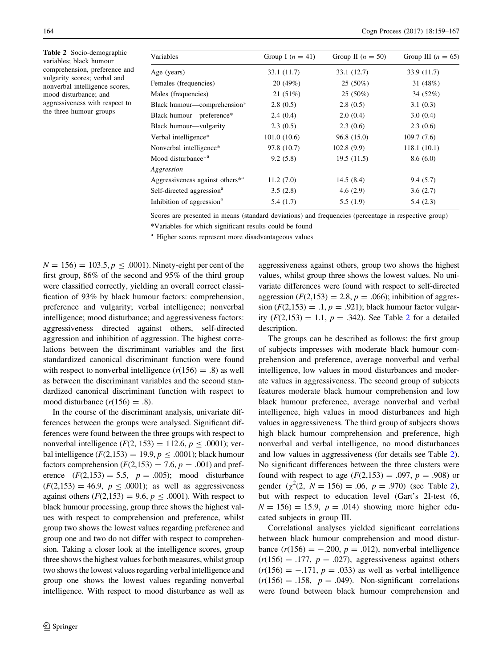<span id="page-5-0"></span>Table 2 Socio-demographic variables; black humour comprehension, preference and vulgarity scores; verbal and nonverbal intelligence scores, mood disturbance; and aggressiveness with respect to the three humour groups

| Variables                                   | Group I $(n = 41)$ | Group II $(n = 50)$ | Group III $(n = 65)$ |
|---------------------------------------------|--------------------|---------------------|----------------------|
| Age (years)                                 | 33.1 (11.7)        | 33.1 (12.7)         | 33.9 (11.7)          |
| Females (frequencies)                       | 20(49%)            | $25(50\%)$          | 31 $(48%)$           |
| Males (frequencies)                         | 21(51%)            | $25(50\%)$          | 34 (52%)             |
| Black humour—comprehension*                 | 2.8(0.5)           | 2.8(0.5)            | 3.1(0.3)             |
| Black humour-preference*                    | 2.4(0.4)           | 2.0(0.4)            | 3.0(0.4)             |
| Black humour—vulgarity                      | 2.3(0.5)           | 2.3(0.6)            | 2.3(0.6)             |
| Verbal intelligence*                        | 101.0(10.6)        | 96.8(15.0)          | 109.7(7.6)           |
| Nonverbal intelligence*                     | 97.8 (10.7)        | 102.8(9.9)          | 118.1(10.1)          |
| Mood disturbance <sup>*a</sup>              | 9.2(5.8)           | 19.5(11.5)          | 8.6(6.0)             |
| Aggression                                  |                    |                     |                      |
| Aggressiveness against others <sup>*a</sup> | 11.2(7.0)          | 14.5(8.4)           | 9.4(5.7)             |
| Self-directed aggression <sup>a</sup>       | 3.5(2.8)           | 4.6(2.9)            | 3.6(2.7)             |
| Inhibition of aggression <sup>a</sup>       | 5.4(1.7)           | 5.5(1.9)            | 5.4(2.3)             |
|                                             |                    |                     |                      |

Scores are presented in means (standard deviations) and frequencies (percentage in respective group)

\*Variables for which significant results could be found

<sup>a</sup> Higher scores represent more disadvantageous values

 $N = 156$  = 103.5,  $p \le 0.0001$ ). Ninety-eight per cent of the first group, 86% of the second and 95% of the third group were classified correctly, yielding an overall correct classification of 93% by black humour factors: comprehension, preference and vulgarity; verbal intelligence; nonverbal intelligence; mood disturbance; and aggressiveness factors: aggressiveness directed against others, self-directed aggression and inhibition of aggression. The highest correlations between the discriminant variables and the first standardized canonical discriminant function were found with respect to nonverbal intelligence  $(r(156) = .8)$  as well as between the discriminant variables and the second standardized canonical discriminant function with respect to mood disturbance  $(r(156) = .8)$ .

In the course of the discriminant analysis, univariate differences between the groups were analysed. Significant differences were found between the three groups with respect to nonverbal intelligence  $(F(2, 153) = 112.6, p \le .0001)$ ; verbal intelligence  $(F(2,153) = 19.9, p \le .0001)$ ; black humour factors comprehension  $(F(2,153) = 7.6, p = .001)$  and preference  $(F(2,153) = 5.5, p = .005)$ ; mood disturbance  $(F(2,153) = 46.9, p \le .0001)$ ; as well as aggressiveness against others  $(F(2,153) = 9.6, p \le .0001)$ . With respect to black humour processing, group three shows the highest values with respect to comprehension and preference, whilst group two shows the lowest values regarding preference and group one and two do not differ with respect to comprehension. Taking a closer look at the intelligence scores, group three shows the highest values for both measures, whilst group two shows the lowest values regarding verbal intelligence and group one shows the lowest values regarding nonverbal intelligence. With respect to mood disturbance as well as aggressiveness against others, group two shows the highest values, whilst group three shows the lowest values. No univariate differences were found with respect to self-directed aggression  $(F(2,153) = 2.8, p = .066)$ ; inhibition of aggression  $(F(2,153) = .1, p = .921)$ ; black humour factor vulgarity  $(F(2,153) = 1.1, p = .342)$ . See Table 2 for a detailed description.

The groups can be described as follows: the first group of subjects impresses with moderate black humour comprehension and preference, average nonverbal and verbal intelligence, low values in mood disturbances and moderate values in aggressiveness. The second group of subjects features moderate black humour comprehension and low black humour preference, average nonverbal and verbal intelligence, high values in mood disturbances and high values in aggressiveness. The third group of subjects shows high black humour comprehension and preference, high nonverbal and verbal intelligence, no mood disturbances and low values in aggressiveness (for details see Table 2). No significant differences between the three clusters were found with respect to age  $(F(2,153) = .097, p = .908)$  or gender  $(\chi^2(2, N = 156) = .06, p = .970)$  (see Table 2), but with respect to education level (Gart's 2I-test (6,  $N = 156$ ) = 15.9,  $p = .014$ ) showing more higher educated subjects in group III.

Correlational analyses yielded significant correlations between black humour comprehension and mood disturbance  $(r(156) = -.200, p = .012)$ , nonverbal intelligence  $(r(156) = .177, p = .027)$ , aggressiveness against others  $(r(156) = -.171, p = .033)$  as well as verbal intelligence  $(r(156) = .158, p = .049)$ . Non-significant correlations were found between black humour comprehension and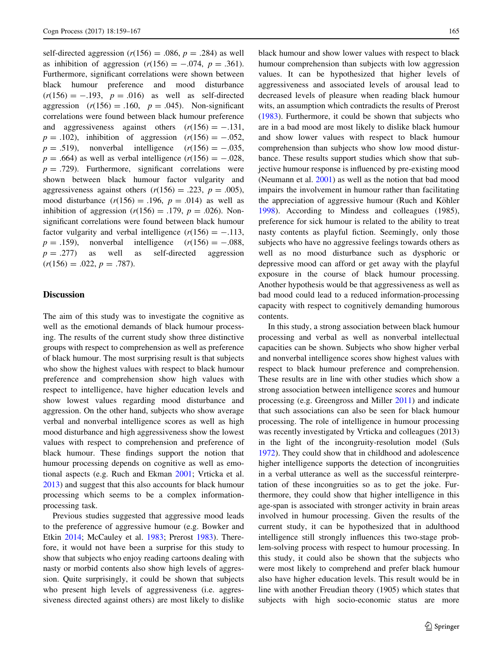self-directed aggression  $(r(156) = .086, p = .284)$  as well as inhibition of aggression  $(r(156) = -.074, p = .361)$ . Furthermore, significant correlations were shown between black humour preference and mood disturbance  $(r(156) = -.193, p = .016)$  as well as self-directed aggression  $(r(156) = .160, p = .045)$ . Non-significant correlations were found between black humour preference and aggressiveness against others  $(r(156) = -.131)$ ,  $p = .102$ ), inhibition of aggression  $(r(156) = -.052)$ ,  $p = .519$ , nonverbal intelligence  $(r(156) = -.035)$ ,  $p = .664$ ) as well as verbal intelligence  $(r(156) = -.028$ ,  $p = .729$ . Furthermore, significant correlations were shown between black humour factor vulgarity and aggressiveness against others  $(r(156) = .223, p = .005)$ , mood disturbance  $(r(156) = .196, p = .014)$  as well as inhibition of aggression  $(r(156) = .179, p = .026)$ . Nonsignificant correlations were found between black humour factor vulgarity and verbal intelligence  $(r(156) = -.113,$  $p = .159$ ), nonverbal intelligence  $(r(156) = -.088$ ,  $p = .277$  as well as self-directed aggression  $(r(156) = .022, p = .787).$ 

# Discussion

The aim of this study was to investigate the cognitive as well as the emotional demands of black humour processing. The results of the current study show three distinctive groups with respect to comprehension as well as preference of black humour. The most surprising result is that subjects who show the highest values with respect to black humour preference and comprehension show high values with respect to intelligence, have higher education levels and show lowest values regarding mood disturbance and aggression. On the other hand, subjects who show average verbal and nonverbal intelligence scores as well as high mood disturbance and high aggressiveness show the lowest values with respect to comprehension and preference of black humour. These findings support the notion that humour processing depends on cognitive as well as emotional aspects (e.g. Ruch and Ekman [2001;](#page-8-0) Vrticka et al. [2013\)](#page-8-0) and suggest that this also accounts for black humour processing which seems to be a complex informationprocessing task.

Previous studies suggested that aggressive mood leads to the preference of aggressive humour (e.g. Bowker and Etkin [2014;](#page-7-0) McCauley et al. [1983;](#page-8-0) Prerost [1983\)](#page-8-0). Therefore, it would not have been a surprise for this study to show that subjects who enjoy reading cartoons dealing with nasty or morbid contents also show high levels of aggression. Quite surprisingly, it could be shown that subjects who present high levels of aggressiveness (i.e. aggressiveness directed against others) are most likely to dislike black humour and show lower values with respect to black humour comprehension than subjects with low aggression values. It can be hypothesized that higher levels of aggressiveness and associated levels of arousal lead to decreased levels of pleasure when reading black humour wits, an assumption which contradicts the results of Prerost [\(1983](#page-8-0)). Furthermore, it could be shown that subjects who are in a bad mood are most likely to dislike black humour and show lower values with respect to black humour comprehension than subjects who show low mood disturbance. These results support studies which show that subjective humour response is influenced by pre-existing mood (Neumann et al. [2001\)](#page-8-0) as well as the notion that bad mood impairs the involvement in humour rather than facilitating the appreciation of aggressive humour (Ruch and Köhler [1998](#page-8-0)). According to Mindess and colleagues (1985), preference for sick humour is related to the ability to treat nasty contents as playful fiction. Seemingly, only those subjects who have no aggressive feelings towards others as well as no mood disturbance such as dysphoric or depressive mood can afford or get away with the playful exposure in the course of black humour processing. Another hypothesis would be that aggressiveness as well as bad mood could lead to a reduced information-processing capacity with respect to cognitively demanding humorous contents.

In this study, a strong association between black humour processing and verbal as well as nonverbal intellectual capacities can be shown. Subjects who show higher verbal and nonverbal intelligence scores show highest values with respect to black humour preference and comprehension. These results are in line with other studies which show a strong association between intelligence scores and humour processing (e.g. Greengross and Miller [2011](#page-8-0)) and indicate that such associations can also be seen for black humour processing. The role of intelligence in humour processing was recently investigated by Vrticka and colleagues (2013) in the light of the incongruity-resolution model (Suls [1972](#page-8-0)). They could show that in childhood and adolescence higher intelligence supports the detection of incongruities in a verbal utterance as well as the successful reinterpretation of these incongruities so as to get the joke. Furthermore, they could show that higher intelligence in this age-span is associated with stronger activity in brain areas involved in humour processing. Given the results of the current study, it can be hypothesized that in adulthood intelligence still strongly influences this two-stage problem-solving process with respect to humour processing. In this study, it could also be shown that the subjects who were most likely to comprehend and prefer black humour also have higher education levels. This result would be in line with another Freudian theory (1905) which states that subjects with high socio-economic status are more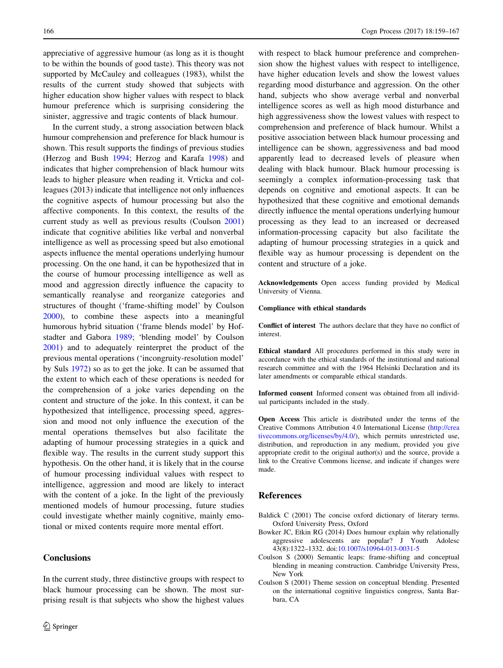<span id="page-7-0"></span>appreciative of aggressive humour (as long as it is thought to be within the bounds of good taste). This theory was not supported by McCauley and colleagues (1983), whilst the results of the current study showed that subjects with higher education show higher values with respect to black humour preference which is surprising considering the sinister, aggressive and tragic contents of black humour.

In the current study, a strong association between black humour comprehension and preference for black humour is shown. This result supports the findings of previous studies (Herzog and Bush [1994](#page-8-0); Herzog and Karafa [1998\)](#page-8-0) and indicates that higher comprehension of black humour wits leads to higher pleasure when reading it. Vrticka and colleagues (2013) indicate that intelligence not only influences the cognitive aspects of humour processing but also the affective components. In this context, the results of the current study as well as previous results (Coulson 2001) indicate that cognitive abilities like verbal and nonverbal intelligence as well as processing speed but also emotional aspects influence the mental operations underlying humour processing. On the one hand, it can be hypothesized that in the course of humour processing intelligence as well as mood and aggression directly influence the capacity to semantically reanalyse and reorganize categories and structures of thought ('frame-shifting model' by Coulson 2000), to combine these aspects into a meaningful humorous hybrid situation ('frame blends model' by Hofstadter and Gabora [1989](#page-8-0); 'blending model' by Coulson 2001) and to adequately reinterpret the product of the previous mental operations ('incongruity-resolution model' by Suls [1972](#page-8-0)) so as to get the joke. It can be assumed that the extent to which each of these operations is needed for the comprehension of a joke varies depending on the content and structure of the joke. In this context, it can be hypothesized that intelligence, processing speed, aggression and mood not only influence the execution of the mental operations themselves but also facilitate the adapting of humour processing strategies in a quick and flexible way. The results in the current study support this hypothesis. On the other hand, it is likely that in the course of humour processing individual values with respect to intelligence, aggression and mood are likely to interact with the content of a joke. In the light of the previously mentioned models of humour processing, future studies could investigate whether mainly cognitive, mainly emotional or mixed contents require more mental effort.

# **Conclusions**

In the current study, three distinctive groups with respect to black humour processing can be shown. The most surprising result is that subjects who show the highest values

with respect to black humour preference and comprehension show the highest values with respect to intelligence, have higher education levels and show the lowest values regarding mood disturbance and aggression. On the other hand, subjects who show average verbal and nonverbal intelligence scores as well as high mood disturbance and high aggressiveness show the lowest values with respect to comprehension and preference of black humour. Whilst a positive association between black humour processing and intelligence can be shown, aggressiveness and bad mood apparently lead to decreased levels of pleasure when dealing with black humour. Black humour processing is seemingly a complex information-processing task that depends on cognitive and emotional aspects. It can be hypothesized that these cognitive and emotional demands directly influence the mental operations underlying humour processing as they lead to an increased or decreased information-processing capacity but also facilitate the adapting of humour processing strategies in a quick and flexible way as humour processing is dependent on the content and structure of a joke.

Acknowledgements Open access funding provided by Medical University of Vienna.

Compliance with ethical standards

Conflict of interest The authors declare that they have no conflict of interest.

Ethical standard All procedures performed in this study were in accordance with the ethical standards of the institutional and national research committee and with the 1964 Helsinki Declaration and its later amendments or comparable ethical standards.

Informed consent Informed consent was obtained from all individual participants included in the study.

Open Access This article is distributed under the terms of the Creative Commons Attribution 4.0 International License ([http://crea](http://creativecommons.org/licenses/by/4.0/) [tivecommons.org/licenses/by/4.0/\)](http://creativecommons.org/licenses/by/4.0/), which permits unrestricted use, distribution, and reproduction in any medium, provided you give appropriate credit to the original author(s) and the source, provide a link to the Creative Commons license, and indicate if changes were made.

## References

- Baldick C (2001) The concise oxford dictionary of literary terms. Oxford University Press, Oxford
- Bowker JC, Etkin RG (2014) Does humour explain why relationally aggressive adolescents are popular? J Youth Adolesc 43(8):1322–1332. doi[:10.1007/s10964-013-0031-5](http://dx.doi.org/10.1007/s10964-013-0031-5)
- Coulson S (2000) Semantic leaps: frame-shifting and conceptual blending in meaning construction. Cambridge University Press, New York
- Coulson S (2001) Theme session on conceptual blending. Presented on the international cognitive linguistics congress, Santa Barbara, CA